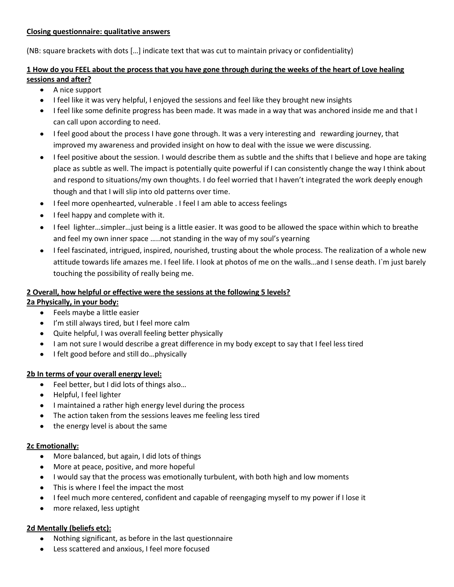#### **Closing questionnaire: qualitative answers**

(NB: square brackets with dots […] indicate text that was cut to maintain privacy or confidentiality)

## **1 How do you FEEL about the process that you have gone through during the weeks of the heart of Love healing sessions and after?**

- A nice support
- I feel like it was very helpful, I enjoyed the sessions and feel like they brought new insights
- I feel like some definite progress has been made. It was made in a way that was anchored inside me and that I can call upon according to need.
- I feel good about the process I have gone through. It was a very interesting and rewarding journey, that improved my awareness and provided insight on how to deal with the issue we were discussing.
- I feel positive about the session. I would describe them as subtle and the shifts that I believe and hope are taking place as subtle as well. The impact is potentially quite powerful if I can consistently change the way I think about and respond to situations/my own thoughts. I do feel worried that I haven't integrated the work deeply enough though and that I will slip into old patterns over time.
- I feel more openhearted, vulnerable . I feel I am able to access feelings
- I feel happy and complete with it.
- I feel lighter…simpler…just being is a little easier. It was good to be allowed the space within which to breathe and feel my own inner space …..not standing in the way of my soul's yearning
- I feel fascinated, intrigued, inspired, nourished, trusting about the whole process. The realization of a whole new  $\bullet$ attitude towards life amazes me. I feel life. I look at photos of me on the walls…and I sense death. I`m just barely touching the possibility of really being me.

## **2 Overall, how helpful or effective were the sessions at the following 5 levels?**

## **2a Physically, in your body:**

- Feels maybe a little easier
- I'm still always tired, but I feel more calm
- Quite helpful, I was overall feeling better physically
- I am not sure I would describe a great difference in my body except to say that I feel less tired
- I felt good before and still do...physically

## **2b In terms of your overall energy level:**

- Feel better, but I did lots of things also...
- Helpful, I feel lighter
- I maintained a rather high energy level during the process
- The action taken from the sessions leaves me feeling less tired
- the energy level is about the same

## **2c Emotionally:**

- More balanced, but again, I did lots of things  $\bullet$
- More at peace, positive, and more hopeful
- I would say that the process was emotionally turbulent, with both high and low moments
- This is where I feel the impact the most
- I feel much more centered, confident and capable of reengaging myself to my power if I lose it
- more relaxed, less uptight

## **2d Mentally (beliefs etc):**

- Nothing significant, as before in the last questionnaire
- Less scattered and anxious, I feel more focused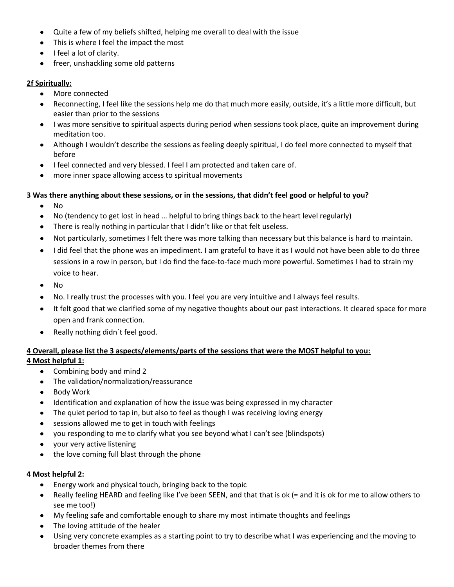- Quite a few of my beliefs shifted, helping me overall to deal with the issue
- This is where I feel the impact the most
- $\bullet$  I feel a lot of clarity.
- freer, unshackling some old patterns

#### **2f Spiritually:**

- More connected
- Reconnecting, I feel like the sessions help me do that much more easily, outside, it's a little more difficult, but easier than prior to the sessions
- I was more sensitive to spiritual aspects during period when sessions took place, quite an improvement during meditation too.
- Although I wouldn't describe the sessions as feeling deeply spiritual, I do feel more connected to myself that before
- I feel connected and very blessed. I feel I am protected and taken care of.
- more inner space allowing access to spiritual movements

#### **3 Was there anything about these sessions, or in the sessions, that didn't feel good or helpful to you?**

- No  $\bullet$
- No (tendency to get lost in head … helpful to bring things back to the heart level regularly)  $\bullet$
- There is really nothing in particular that I didn't like or that felt useless.
- $\bullet$ Not particularly, sometimes I felt there was more talking than necessary but this balance is hard to maintain.
- I did feel that the phone was an impediment. I am grateful to have it as I would not have been able to do three  $\bullet$ sessions in a row in person, but I do find the face-to-face much more powerful. Sometimes I had to strain my voice to hear.
- No  $\bullet$
- No. I really trust the processes with you. I feel you are very intuitive and I always feel results.
- It felt good that we clarified some of my negative thoughts about our past interactions. It cleared space for more open and frank connection.
- Really nothing didn`t feel good.  $\bullet$

## **4 Overall, please list the 3 aspects/elements/parts of the sessions that were the MOST helpful to you: 4 Most helpful 1:**

- Combining body and mind 2
- The validation/normalization/reassurance
- Body Work
- Identification and explanation of how the issue was being expressed in my character
- The quiet period to tap in, but also to feel as though I was receiving loving energy
- sessions allowed me to get in touch with feelings
- you responding to me to clarify what you see beyond what I can't see (blindspots)
- your very active listening
- the love coming full blast through the phone

#### **4 Most helpful 2:**

- Energy work and physical touch, bringing back to the topic
- Really feeling HEARD and feeling like I've been SEEN, and that that is ok (= and it is ok for me to allow others to  $\bullet$ see me too!)
- My feeling safe and comfortable enough to share my most intimate thoughts and feelings
- The loving attitude of the healer
- Using very concrete examples as a starting point to try to describe what I was experiencing and the moving to broader themes from there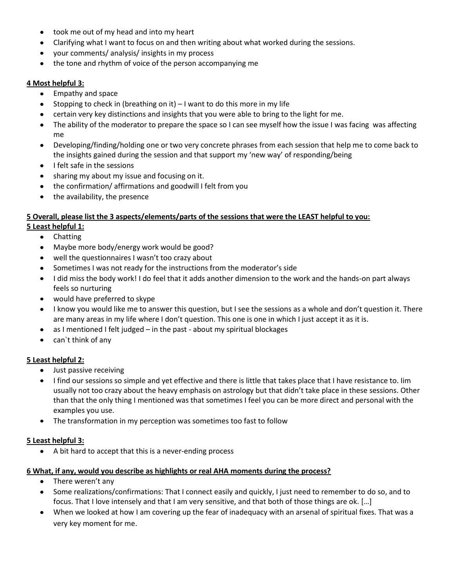- took me out of my head and into my heart
- Clarifying what I want to focus on and then writing about what worked during the sessions.
- your comments/ analysis/ insights in my process
- the tone and rhythm of voice of the person accompanying me  $\bullet$

#### **4 Most helpful 3:**

- Empathy and space
- Stopping to check in (breathing on it) I want to do this more in my life
- certain very key distinctions and insights that you were able to bring to the light for me.
- The ability of the moderator to prepare the space so I can see myself how the issue I was facing was affecting  $\bullet$ me
- Developing/finding/holding one or two very concrete phrases from each session that help me to come back to  $\bullet$ the insights gained during the session and that support my 'new way' of responding/being
- I felt safe in the sessions  $\bullet$
- sharing my about my issue and focusing on it.
- the confirmation/ affirmations and goodwill I felt from you
- the availability, the presence

# **5 Overall, please list the 3 aspects/elements/parts of the sessions that were the LEAST helpful to you:**

### **5 Least helpful 1:**

- Chatting
- Maybe more body/energy work would be good?
- well the questionnaires I wasn't too crazy about
- Sometimes I was not ready for the instructions from the moderator's side
- I did miss the body work! I do feel that it adds another dimension to the work and the hands-on part always feels so nurturing
- would have preferred to skype
- I know you would like me to answer this question, but I see the sessions as a whole and don't question it. There  $\bullet$ are many areas in my life where I don't question. This one is one in which I just accept it as it is.
- as I mentioned I felt judged in the past about my spiritual blockages
- can`t think of any

#### **5 Least helpful 2:**

- Just passive receiving
- I find our sessions so simple and yet effective and there is little that takes place that I have resistance to. Iim usually not too crazy about the heavy emphasis on astrology but that didn't take place in these sessions. Other than that the only thing I mentioned was that sometimes I feel you can be more direct and personal with the examples you use.
- The transformation in my perception was sometimes too fast to follow  $\bullet$

#### **5 Least helpful 3:**

A bit hard to accept that this is a never-ending process

#### **6 What, if any, would you describe as highlights or real AHA moments during the process?**

- There weren't any  $\bullet$
- Some realizations/confirmations: That I connect easily and quickly, I just need to remember to do so, and to focus. That I love intensely and that I am very sensitive, and that both of those things are ok. […]
- When we looked at how I am covering up the fear of inadequacy with an arsenal of spiritual fixes. That was a very key moment for me.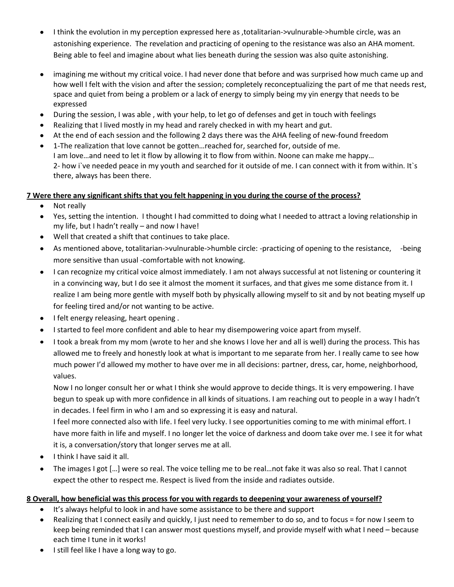- I think the evolution in my perception expressed here as ,totalitarian->vulnurable->humble circle, was an astonishing experience. The revelation and practicing of opening to the resistance was also an AHA moment. Being able to feel and imagine about what lies beneath during the session was also quite astonishing.
- imagining me without my critical voice. I had never done that before and was surprised how much came up and how well I felt with the vision and after the session; completely reconceptualizing the part of me that needs rest, space and quiet from being a problem or a lack of energy to simply being my yin energy that needs to be expressed
- During the session, I was able , with your help, to let go of defenses and get in touch with feelings  $\bullet$
- Realizing that I lived mostly in my head and rarely checked in with my heart and gut.
- At the end of each session and the following 2 days there was the AHA feeling of new-found freedom
- 1-The realization that love cannot be gotten…reached for, searched for, outside of me. I am love…and need to let it flow by allowing it to flow from within. Noone can make me happy… 2- how i`ve needed peace in my youth and searched for it outside of me. I can connect with it from within. It`s there, always has been there.

### **7 Were there any significant shifts that you felt happening in you during the course of the process?**

- Not really  $\bullet$
- Yes, setting the intention. I thought I had committed to doing what I needed to attract a loving relationship in  $\bullet$ my life, but I hadn't really – and now I have!
- Well that created a shift that continues to take place.
- As mentioned above, totalitarian->vulnurable->humble circle: -practicing of opening to the resistance, -being more sensitive than usual -comfortable with not knowing.
- $\bullet$ I can recognize my critical voice almost immediately. I am not always successful at not listening or countering it in a convincing way, but I do see it almost the moment it surfaces, and that gives me some distance from it. I realize I am being more gentle with myself both by physically allowing myself to sit and by not beating myself up for feeling tired and/or not wanting to be active.
- I felt energy releasing, heart opening .  $\bullet$
- I started to feel more confident and able to hear my disempowering voice apart from myself.
- I took a break from my mom (wrote to her and she knows I love her and all is well) during the process. This has allowed me to freely and honestly look at what is important to me separate from her. I really came to see how much power I'd allowed my mother to have over me in all decisions: partner, dress, car, home, neighborhood, values.

Now I no longer consult her or what I think she would approve to decide things. It is very empowering. I have begun to speak up with more confidence in all kinds of situations. I am reaching out to people in a way I hadn't in decades. I feel firm in who I am and so expressing it is easy and natural.

I feel more connected also with life. I feel very lucky. I see opportunities coming to me with minimal effort. I have more faith in life and myself. I no longer let the voice of darkness and doom take over me. I see it for what it is, a conversation/story that longer serves me at all.

- I think I have said it all.  $\bullet$
- The images I got […] were so real. The voice telling me to be real…not fake it was also so real. That I cannot expect the other to respect me. Respect is lived from the inside and radiates outside.

#### **8 Overall, how beneficial was this process for you with regards to deepening your awareness of yourself?**

- It's always helpful to look in and have some assistance to be there and support
- Realizing that I connect easily and quickly, I just need to remember to do so, and to focus = for now I seem to  $\bullet$ keep being reminded that I can answer most questions myself, and provide myself with what I need – because each time I tune in it works!
- I still feel like I have a long way to go.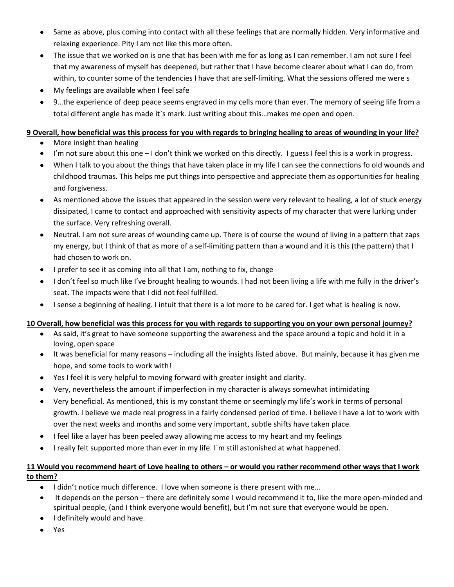- Same as above, plus coming into contact with all these feelings that are normally hidden. Very informative and relaxing experience. Pity I am not like this more often.
- The issue that we worked on is one that has been with me for as long as I can remember. I am not sure I feel that my awareness of myself has deepened, but rather that I have become clearer about what I can do, from within, to counter some of the tendencies I have that are self-limiting. What the sessions offered me were s
- My feelings are available when I feel safe  $\bullet$
- 9…the experience of deep peace seems engraved in my cells more than ever. The memory of seeing life from a total different angle has made it`s mark. Just writing about this…makes me open and open.

#### **9 Overall, how beneficial was this process for you with regards to bringing healing to areas of wounding in your life?**

- More insight than healing
- I'm not sure about this one I don't think we worked on this directly. I guess I feel this is a work in progress.
- When I talk to you about the things that have taken place in my life I can see the connections fo old wounds and childhood traumas. This helps me put things into perspective and appreciate them as opportunities for healing and forgiveness.
- As mentioned above the issues that appeared in the session were very relevant to healing, a lot of stuck energy  $\bullet$ dissipated, I came to contact and approached with sensitivity aspects of my character that were lurking under the surface. Very refreshing overall.
- $\bullet$ Neutral. I am not sure areas of wounding came up. There is of course the wound of living in a pattern that zaps my energy, but I think of that as more of a self-limiting pattern than a wound and it is this (the pattern) that I had chosen to work on.
- I prefer to see it as coming into all that I am, nothing to fix, change  $\bullet$
- I don't feel so much like I've brought healing to wounds. I had not been living a life with me fully in the driver's seat. The impacts were that I did not feel fulfilled.
- I sense a beginning of healing. I intuit that there is a lot more to be cared for. I get what is healing is now.

#### **10 Overall, how beneficial was this process for you with regards to supporting you on your own personal journey?**

- As said, it's great to have someone supporting the awareness and the space around a topic and hold it in a loving, open space
- It was beneficial for many reasons including all the insights listed above. But mainly, because it has given me hope, and some tools to work with!
- Yes I feel it is very helpful to moving forward with greater insight and clarity.
- Very, nevertheless the amount if imperfection in my character is always somewhat intimidating
- Very beneficial. As mentioned, this is my constant theme or seemingly my life's work in terms of personal  $\bullet$ growth. I believe we made real progress in a fairly condensed period of time. I believe I have a lot to work with over the next weeks and months and some very important, subtle shifts have taken place.
- I feel like a layer has been peeled away allowing me access to my heart and my feelings
- I really felt supported more than ever in my life. I`m still astonished at what happened.

### **11 Would you recommend heart of Love healing to others – or would you rather recommend other ways that I work to them?**

- I didn't notice much difference. I love when someone is there present with me…  $\bullet$
- It depends on the person there are definitely some I would recommend it to, like the more open-minded and spiritual people, (and I think everyone would benefit), but I'm not sure that everyone would be open.
- I definitely would and have.
- Yes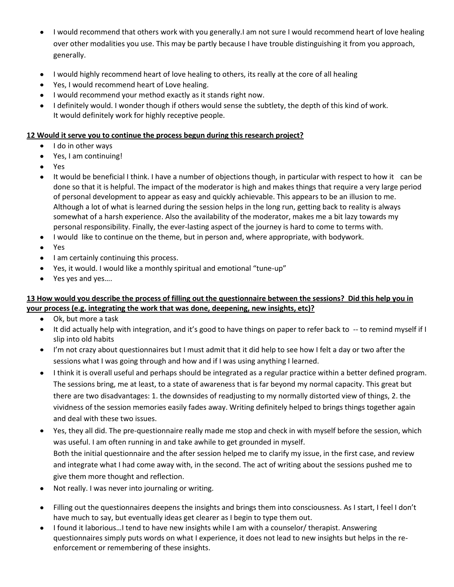- I would recommend that others work with you generally.I am not sure I would recommend heart of love healing over other modalities you use. This may be partly because I have trouble distinguishing it from you approach, generally.
- I would highly recommend heart of love healing to others, its really at the core of all healing
- Yes, I would recommend heart of Love healing.
- I would recommend your method exactly as it stands right now.
- I definitely would. I wonder though if others would sense the subtlety, the depth of this kind of work. It would definitely work for highly receptive people.

#### **12 Would it serve you to continue the process begun during this research project?**

- I do in other ways  $\bullet$
- Yes, I am continuing!
- Yes
- It would be beneficial I think. I have a number of objections though, in particular with respect to how it can be  $\bullet$ done so that it is helpful. The impact of the moderator is high and makes things that require a very large period of personal development to appear as easy and quickly achievable. This appears to be an illusion to me. Although a lot of what is learned during the session helps in the long run, getting back to reality is always somewhat of a harsh experience. Also the availability of the moderator, makes me a bit lazy towards my personal responsibility. Finally, the ever-lasting aspect of the journey is hard to come to terms with.
- I would like to continue on the theme, but in person and, where appropriate, with bodywork.  $\bullet$
- Yes  $\bullet$
- I am certainly continuing this process.
- Yes, it would. I would like a monthly spiritual and emotional "tune-up"
- Yes yes and yes….  $\bullet$

#### **13 How would you describe the process of filling out the questionnaire between the sessions? Did this help you in your process (e.g. integrating the work that was done, deepening, new insights, etc)?**

- Ok, but more a task  $\bullet$  .
- It did actually help with integration, and it's good to have things on paper to refer back to -- to remind myself if I  $\bullet$ slip into old habits
- I'm not crazy about questionnaires but I must admit that it did help to see how I felt a day or two after the sessions what I was going through and how and if I was using anything I learned.
- I think it is overall useful and perhaps should be integrated as a regular practice within a better defined program.  $\bullet$ The sessions bring, me at least, to a state of awareness that is far beyond my normal capacity. This great but there are two disadvantages: 1. the downsides of readjusting to my normally distorted view of things, 2. the vividness of the session memories easily fades away. Writing definitely helped to brings things together again and deal with these two issues.
- Yes, they all did. The pre-questionnaire really made me stop and check in with myself before the session, which was useful. I am often running in and take awhile to get grounded in myself. Both the initial questionnaire and the after session helped me to clarify my issue, in the first case, and review and integrate what I had come away with, in the second. The act of writing about the sessions pushed me to give them more thought and reflection.
- Not really. I was never into journaling or writing.  $\bullet$
- Filling out the questionnaires deepens the insights and brings them into consciousness. As I start, I feel I don't  $\bullet$ have much to say, but eventually ideas get clearer as I begin to type them out.
- I found it laborious…I tend to have new insights while I am with a counselor/ therapist. Answering questionnaires simply puts words on what I experience, it does not lead to new insights but helps in the reenforcement or remembering of these insights.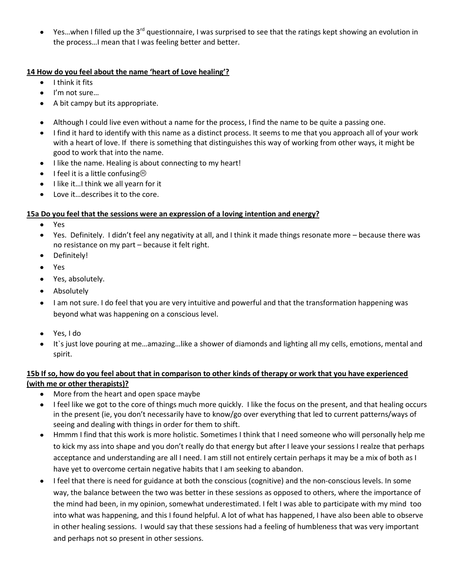Yes...when I filled up the 3<sup>rd</sup> questionnaire, I was surprised to see that the ratings kept showing an evolution in  $\bullet$ the process…I mean that I was feeling better and better.

#### **14 How do you feel about the name 'heart of Love healing'?**

- $\bullet$ I think it fits
- I'm not sure…
- A bit campy but its appropriate.
- Although I could live even without a name for the process, I find the name to be quite a passing one.
- I find it hard to identify with this name as a distinct process. It seems to me that you approach all of your work with a heart of love. If there is something that distinguishes this way of working from other ways, it might be good to work that into the name.
- I like the name. Healing is about connecting to my heart!  $\bullet$
- I feel it is a little confusing $\odot$
- I like it…I think we all yearn for it
- Love it…describes it to the core.

## **15a Do you feel that the sessions were an expression of a loving intention and energy?**

- Yes  $\bullet$
- Yes. Definitely. I didn't feel any negativity at all, and I think it made things resonate more because there was no resistance on my part – because it felt right.
- Definitely!  $\bullet$
- Yes  $\bullet$
- $\bullet$ Yes, absolutely.
- Absolutely  $\bullet$
- I am not sure. I do feel that you are very intuitive and powerful and that the transformation happening was  $\bullet$ beyond what was happening on a conscious level.
- Yes, I do
- It`s just love pouring at me…amazing…like a shower of diamonds and lighting all my cells, emotions, mental and spirit.

### **15b If so, how do you feel about that in comparison to other kinds of therapy or work that you have experienced (with me or other therapists)?**

- More from the heart and open space maybe  $\bullet$
- I feel like we got to the core of things much more quickly. I like the focus on the present, and that healing occurs in the present (ie, you don't necessarily have to know/go over everything that led to current patterns/ways of seeing and dealing with things in order for them to shift.
- $\bullet$ Hmmm I find that this work is more holistic. Sometimes I think that I need someone who will personally help me to kick my ass into shape and you don't really do that energy but after I leave your sessions I realze that perhaps acceptance and understanding are all I need. I am still not entirely certain perhaps it may be a mix of both as I have yet to overcome certain negative habits that I am seeking to abandon.
- I feel that there is need for guidance at both the conscious (cognitive) and the non-conscious levels. In some way, the balance between the two was better in these sessions as opposed to others, where the importance of the mind had been, in my opinion, somewhat underestimated. I felt I was able to participate with my mind too into what was happening, and this I found helpful. A lot of what has happened, I have also been able to observe in other healing sessions. I would say that these sessions had a feeling of humbleness that was very important and perhaps not so present in other sessions.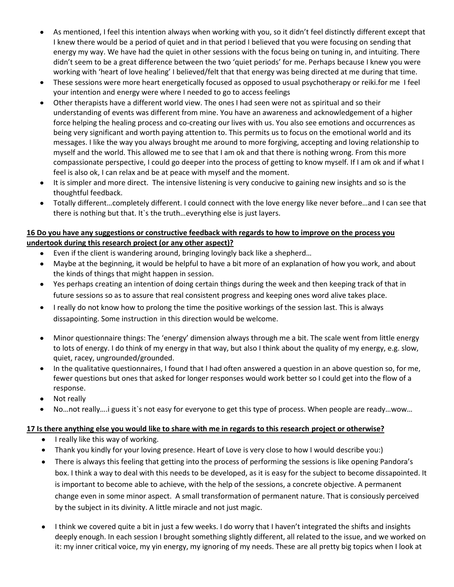- As mentioned, I feel this intention always when working with you, so it didn't feel distinctly different except that I knew there would be a period of quiet and in that period I believed that you were focusing on sending that energy my way. We have had the quiet in other sessions with the focus being on tuning in, and intuiting. There didn't seem to be a great difference between the two 'quiet periods' for me. Perhaps because I knew you were working with 'heart of love healing' I believed/felt that that energy was being directed at me during that time.
- These sessions were more heart energetically focused as opposed to usual psychotherapy or reiki.for me I feel  $\bullet$ your intention and energy were where I needed to go to access feelings
- Other therapists have a different world view. The ones I had seen were not as spiritual and so their understanding of events was different from mine. You have an awareness and acknowledgement of a higher force helping the healing process and co-creating our lives with us. You also see emotions and occurrences as being very significant and worth paying attention to. This permits us to focus on the emotional world and its messages. I like the way you always brought me around to more forgiving, accepting and loving relationship to myself and the world. This allowed me to see that I am ok and that there is nothing wrong. From this more compassionate perspective, I could go deeper into the process of getting to know myself. If I am ok and if what I feel is also ok, I can relax and be at peace with myself and the moment.
- $\bullet$ It is simpler and more direct. The intensive listening is very conducive to gaining new insights and so is the thoughtful feedback.
- Totally different…completely different. I could connect with the love energy like never before…and I can see that there is nothing but that. It`s the truth…everything else is just layers.

#### **16 Do you have any suggestions or constructive feedback with regards to how to improve on the process you undertook during this research project (or any other aspect)?**

- Even if the client is wandering around, bringing lovingly back like a shepherd…  $\bullet$
- Maybe at the beginning, it would be helpful to have a bit more of an explanation of how you work, and about the kinds of things that might happen in session.
- Yes perhaps creating an intention of doing certain things during the week and then keeping track of that in future sessions so as to assure that real consistent progress and keeping ones word alive takes place.
- I really do not know how to prolong the time the positive workings of the session last. This is always  $\bullet$ dissapointing. Some instruction in this direction would be welcome.
- Minor questionnaire things: The 'energy' dimension always through me a bit. The scale went from little energy to lots of energy. I do think of my energy in that way, but also I think about the quality of my energy, e.g. slow, quiet, racey, ungrounded/grounded.
- In the qualitative questionnaires, I found that I had often answered a question in an above question so, for me, fewer questions but ones that asked for longer responses would work better so I could get into the flow of a response.
- Not really
- No…not really….i guess it`s not easy for everyone to get this type of process. When people are ready…wow…

#### **17 Is there anything else you would like to share with me in regards to this research project or otherwise?**

- I really like this way of working.
- Thank you kindly for your loving presence. Heart of Love is very close to how I would describe you:)
- There is always this feeling that getting into the process of performing the sessions is like opening Pandora's box. I think a way to deal with this needs to be developed, as it is easy for the subject to become dissapointed. It is important to become able to achieve, with the help of the sessions, a concrete objective. A permanent change even in some minor aspect. A small transformation of permanent nature. That is consiously perceived by the subject in its divinity. A little miracle and not just magic.
- I think we covered quite a bit in just a few weeks. I do worry that I haven't integrated the shifts and insights deeply enough. In each session I brought something slightly different, all related to the issue, and we worked on it: my inner critical voice, my yin energy, my ignoring of my needs. These are all pretty big topics when I look at